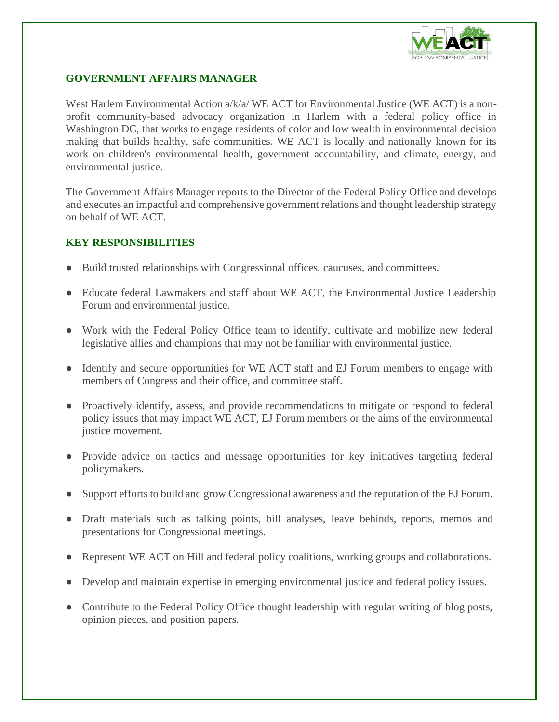

## **GOVERNMENT AFFAIRS MANAGER**

West Harlem Environmental Action a/k/a/WE ACT for Environmental Justice (WE ACT) is a nonprofit community-based advocacy organization in Harlem with a federal policy office in Washington DC, that works to engage residents of color and low wealth in environmental decision making that builds healthy, safe communities. WE ACT is locally and nationally known for its work on children's environmental health, government accountability, and climate, energy, and environmental justice.

The Government Affairs Manager reports to the Director of the Federal Policy Office and develops and executes an impactful and comprehensive government relations and thought leadership strategy on behalf of WE ACT.

## **KEY RESPONSIBILITIES**

- Build trusted relationships with Congressional offices, caucuses, and committees.
- Educate federal Lawmakers and staff about WE ACT, the Environmental Justice Leadership Forum and environmental justice.
- Work with the Federal Policy Office team to identify, cultivate and mobilize new federal legislative allies and champions that may not be familiar with environmental justice.
- Identify and secure opportunities for WE ACT staff and EJ Forum members to engage with members of Congress and their office, and committee staff.
- Proactively identify, assess, and provide recommendations to mitigate or respond to federal policy issues that may impact WE ACT, EJ Forum members or the aims of the environmental justice movement.
- Provide advice on tactics and message opportunities for key initiatives targeting federal policymakers.
- Support efforts to build and grow Congressional awareness and the reputation of the EJ Forum.
- Draft materials such as talking points, bill analyses, leave behinds, reports, memos and presentations for Congressional meetings.
- Represent WE ACT on Hill and federal policy coalitions, working groups and collaborations.
- Develop and maintain expertise in emerging environmental justice and federal policy issues.
- Contribute to the Federal Policy Office thought leadership with regular writing of blog posts, opinion pieces, and position papers.